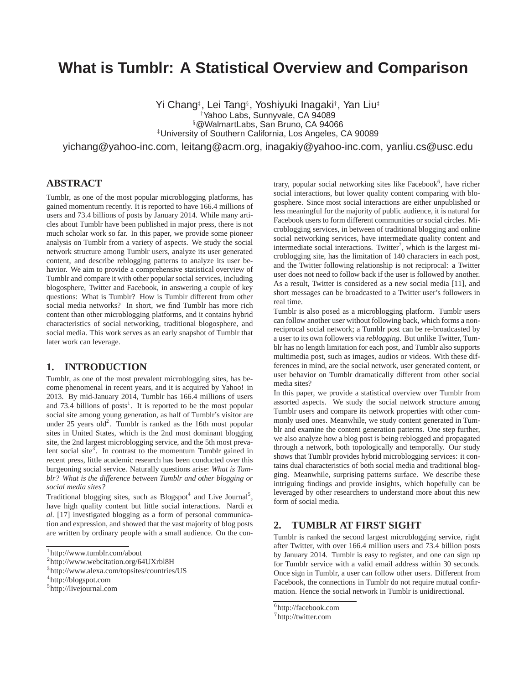# **What is Tumblr: A Statistical Overview and Comparison**

Yi Chang‡ , Lei Tang§ , Yoshiyuki Inagaki† , Yan Liu‡ †Yahoo Labs, Sunnyvale, CA 94089 §@WalmartLabs, San Bruno, CA 94066 ‡University of Southern California, Los Angeles, CA 90089

yichang@yahoo-inc.com, leitang@acm.org, inagakiy@yahoo-inc.com, yanliu.cs@usc.edu

## **ABSTRACT**

Tumblr, as one of the most popular microblogging platforms, has gained momentum recently. It is reported to have 166.4 millions of users and 73.4 billions of posts by January 2014. While many articles about Tumblr have been published in major press, there is not much scholar work so far. In this paper, we provide some pioneer analysis on Tumblr from a variety of aspects. We study the social network structure among Tumblr users, analyze its user generated content, and describe reblogging patterns to analyze its user behavior. We aim to provide a comprehensive statistical overview of Tumblr and compare it with other popular social services, including blogosphere, Twitter and Facebook, in answering a couple of key questions: What is Tumblr? How is Tumblr different from other social media networks? In short, we find Tumblr has more rich content than other microblogging platforms, and it contains hybrid characteristics of social networking, traditional blogosphere, and social media. This work serves as an early snapshot of Tumblr that later work can leverage.

#### **1. INTRODUCTION**

Tumblr, as one of the most prevalent microblogging sites, has become phenomenal in recent years, and it is acquired by Yahoo! in 2013. By mid-January 2014, Tumblr has 166.4 millions of users and  $73.4$  billions of posts<sup>1</sup>. It is reported to be the most popular social site among young generation, as half of Tumblr's visitor are under  $25$  years old<sup>2</sup>. Tumblr is ranked as the 16th most popular sites in United States, which is the 2nd most dominant blogging site, the 2nd largest microblogging service, and the 5th most prevalent social site<sup>3</sup>. In contrast to the momentum Tumblr gained in recent press, little academic research has been conducted over this burgeoning social service. Naturally questions arise: *What is Tumblr? What is the difference between Tumblr and other blogging or social media sites?*

Traditional blogging sites, such as Blogspot<sup>4</sup> and Live Journal<sup>5</sup>, have high quality content but little social interactions. Nardi *et al.* [17] investigated blogging as a form of personal communication and expression, and showed that the vast majority of blog posts are written by ordinary people with a small audience. On the con-

trary, popular social networking sites like Facebook<sup>6</sup>, have richer social interactions, but lower quality content comparing with blogosphere. Since most social interactions are either unpublished or less meaningful for the majority of public audience, it is natural for Facebook users to form different communities or social circles. Microblogging services, in between of traditional blogging and online social networking services, have intermediate quality content and intermediate social interactions. Twitter<sup>7</sup>, which is the largest microblogging site, has the limitation of 140 characters in each post, and the Twitter following relationship is not reciprocal: a Twitter user does not need to follow back if the user is followed by another. As a result, Twitter is considered as a new social media [11], and short messages can be broadcasted to a Twitter user's followers in real time.

Tumblr is also posed as a microblogging platform. Tumblr users can follow another user without following back, which forms a nonreciprocal social network; a Tumblr post can be re-broadcasted by a user to its own followers via *reblogging*. But unlike Twitter, Tumblr has no length limitation for each post, and Tumblr also supports multimedia post, such as images, audios or videos. With these differences in mind, are the social network, user generated content, or user behavior on Tumblr dramatically different from other social media sites?

In this paper, we provide a statistical overview over Tumblr from assorted aspects. We study the social network structure among Tumblr users and compare its network properties with other commonly used ones. Meanwhile, we study content generated in Tumblr and examine the content generation patterns. One step further, we also analyze how a blog post is being reblogged and propagated through a network, both topologically and temporally. Our study shows that Tumblr provides hybrid microblogging services: it contains dual characteristics of both social media and traditional blogging. Meanwhile, surprising patterns surface. We describe these intriguing findings and provide insights, which hopefully can be leveraged by other researchers to understand more about this new form of social media.

### **2. TUMBLR AT FIRST SIGHT**

Tumblr is ranked the second largest microblogging service, right after Twitter, with over 166.4 million users and 73.4 billion posts by January 2014. Tumblr is easy to register, and one can sign up for Tumblr service with a valid email address within 30 seconds. Once sign in Tumblr, a user can follow other users. Different from Facebook, the connections in Tumblr do not require mutual confirmation. Hence the social network in Tumblr is unidirectional.

<sup>1</sup> http://www.tumblr.com/about

<sup>2</sup> http://www.webcitation.org/64UXrbl8H

<sup>3</sup> http://www.alexa.com/topsites/countries/US

<sup>4</sup> http://blogspot.com

<sup>5</sup> http://livejournal.com

<sup>6</sup> http://facebook.com

<sup>7</sup> http://twitter.com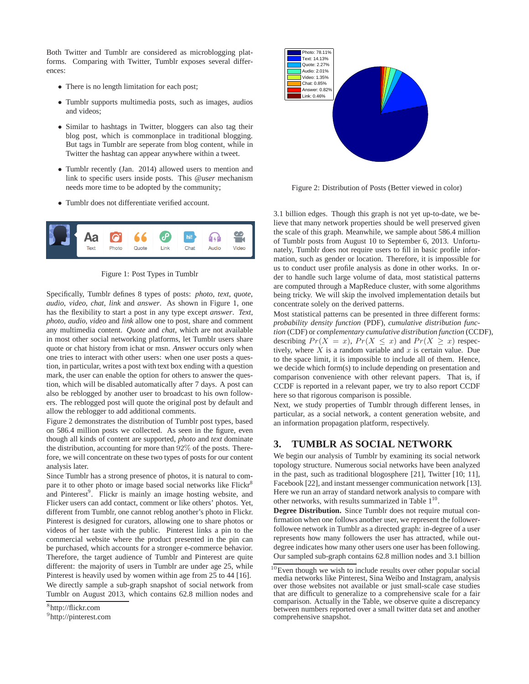Both Twitter and Tumblr are considered as microblogging platforms. Comparing with Twitter, Tumblr exposes several differences:

- There is no length limitation for each post;
- Tumblr supports multimedia posts, such as images, audios and videos;
- Similar to hashtags in Twitter, bloggers can also tag their blog post, which is commonplace in traditional blogging. But tags in Tumblr are seperate from blog content, while in Twitter the hashtag can appear anywhere within a tweet.
- Tumblr recently (Jan. 2014) allowed users to mention and link to specific users inside posts. This *@user* mechanism needs more time to be adopted by the community;
- Tumblr does not differentiate verified account.



Figure 1: Post Types in Tumblr

Specifically, Tumblr defines 8 types of posts: *photo*, *text*, *quote*, *audio*, *video*, *chat*, *link* and *answer*. As shown in Figure 1, one has the flexibility to start a post in any type except *answer*. *Text*, *photo*, *audio*, *video* and *link* allow one to post, share and comment any multimedia content. *Quote* and *chat*, which are not available in most other social networking platforms, let Tumblr users share quote or chat history from ichat or msn. *Answer* occurs only when one tries to interact with other users: when one user posts a question, in particular, writes a post with text box ending with a question mark, the user can enable the option for others to answer the question, which will be disabled automatically after 7 days. A post can also be reblogged by another user to broadcast to his own followers. The reblogged post will quote the original post by default and allow the reblogger to add additional comments.

Figure 2 demonstrates the distribution of Tumblr post types, based on 586.4 million posts we collected. As seen in the figure, even though all kinds of content are supported, *photo* and *text* dominate the distribution, accounting for more than 92% of the posts. Therefore, we will concentrate on these two types of posts for our content analysis later.

Since Tumblr has a strong presence of photos, it is natural to compare it to other photo or image based social networks like Flickr<sup>8</sup> and Pinterest<sup>9</sup>. Flickr is mainly an image hosting website, and Flicker users can add contact, comment or like others' photos. Yet, different from Tumblr, one cannot reblog another's photo in Flickr. Pinterest is designed for curators, allowing one to share photos or videos of her taste with the public. Pinterest links a pin to the commercial website where the product presented in the pin can be purchased, which accounts for a stronger e-commerce behavior. Therefore, the target audience of Tumblr and Pinterest are quite different: the majority of users in Tumblr are under age 25, while Pinterest is heavily used by women within age from 25 to 44 [16]. We directly sample a sub-graph snapshot of social network from Tumblr on August 2013, which contains 62.8 million nodes and



Figure 2: Distribution of Posts (Better viewed in color)

3.1 billion edges. Though this graph is not yet up-to-date, we believe that many network properties should be well preserved given the scale of this graph. Meanwhile, we sample about 586.4 million of Tumblr posts from August 10 to September 6, 2013. Unfortunately, Tumblr does not require users to fill in basic profile information, such as gender or location. Therefore, it is impossible for us to conduct user profile analysis as done in other works. In order to handle such large volume of data, most statistical patterns are computed through a MapReduce cluster, with some algorithms being tricky. We will skip the involved implementation details but concentrate solely on the derived patterns.

Most statistical patterns can be presented in three different forms: *probability density function* (PDF), *cumulative distribution function* (CDF) or *complementary cumulative distribution function* (CCDF), describing  $Pr(X = x)$ ,  $Pr(X \leq x)$  and  $Pr(X \geq x)$  respectively, where  $X$  is a random variable and  $x$  is certain value. Due to the space limit, it is impossible to include all of them. Hence, we decide which form(s) to include depending on presentation and comparison convenience with other relevant papers. That is, if CCDF is reported in a relevant paper, we try to also report CCDF here so that rigorous comparison is possible.

Next, we study properties of Tumblr through different lenses, in particular, as a social network, a content generation website, and an information propagation platform, respectively.

# **3. TUMBLR AS SOCIAL NETWORK**

We begin our analysis of Tumblr by examining its social network topology structure. Numerous social networks have been analyzed in the past, such as traditional blogosphere [21], Twitter [10; 11], Facebook [22], and instant messenger communication network [13]. Here we run an array of standard network analysis to compare with other networks, with results summarized in Table  $1^{10}$ .

**Degree Distribution.** Since Tumblr does not require mutual confirmation when one follows another user, we represent the followerfollowee network in Tumblr as a directed graph: in-degree of a user represents how many followers the user has attracted, while outdegree indicates how many other users one user has been following. Our sampled sub-graph contains 62.8 million nodes and 3.1 billion

<sup>8</sup> http://flickr.com

<sup>9</sup> http://pinterest.com

 $10$ Even though we wish to include results over other popular social media networks like Pinterest, Sina Weibo and Instagram, analysis over those websites not available or just small-scale case studies that are difficult to generalize to a comprehensive scale for a fair comparison. Actually in the Table, we observe quite a discrepancy between numbers reported over a small twitter data set and another comprehensive snapshot.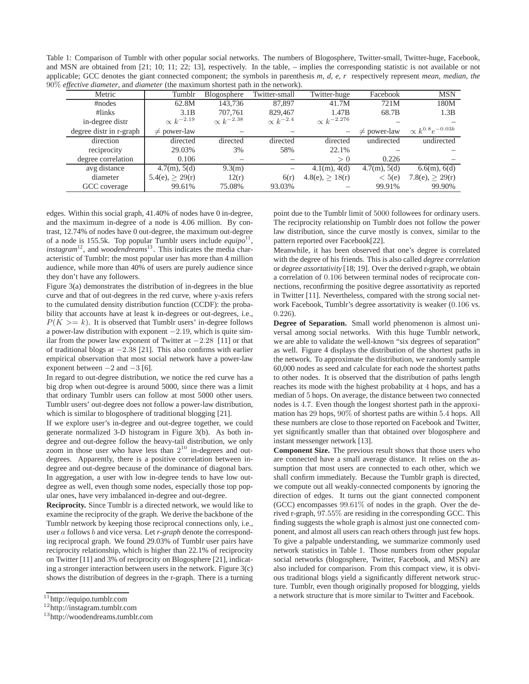Table 1: Comparison of Tumblr with other popular social networks. The numbers of Blogosphere, Twitter-small, Twitter-huge, Facebook, and MSN are obtained from [21; 10; 11; 22; 13], respectively. In the table, – implies the corresponding statistic is not available or not applicable; GCC denotes the giant connected component; the symbols in parenthesis *m, d, e, r* respectively represent *mean*, *median*, *the* 90% *effective diameter*, and *diameter* (the maximum shortest path in the network).

| effective analisers, and analiser (the maximum shortest path in the necword). |                     |                     |                    |                      |                  |                              |  |
|-------------------------------------------------------------------------------|---------------------|---------------------|--------------------|----------------------|------------------|------------------------------|--|
| Metric                                                                        | Tumblr              | Blogosphere         | Twitter-small      | Twitter-huge         | Facebook         | <b>MSN</b>                   |  |
| #nodes                                                                        | 62.8M               | 143.736             | 87,897             | 41.7M                | 721M             | 180M                         |  |
| $\#links$                                                                     | 3.1B                | 707.761             | 829,467            | 1.47B                | 68.7B            | 1.3B                         |  |
| in-degree distr                                                               | $\propto k^{-2.19}$ | $\propto k^{-2.38}$ | $\propto k^{-2.4}$ | $\propto k^{-2.276}$ |                  |                              |  |
| degree distr in r-graph                                                       | $\neq$ power-law    |                     |                    | –                    | $\neq$ power-law | $\propto k^{0.8} e^{-0.03k}$ |  |
| direction                                                                     | directed            | directed            | directed           | directed             | undirected       | undirected                   |  |
| reciprocity                                                                   | 29.03%              | 3%                  | 58%                | 22.1%                |                  |                              |  |
| degree correlation                                                            | 0.106               |                     |                    | > 0                  | 0.226            |                              |  |
| avg distance                                                                  | 4.7(m), 5(d)        | 9.3(m)              |                    | $4.1(m)$ , $4(d)$    | 4.7(m), 5(d)     | $6.6(m)$ , $6(d)$            |  |
| diameter                                                                      | $5.4(e) \geq 29(r)$ | 12(r)               | 6(r)               | 4.8(e) > 18(r)       | < 5(e)           | 7.8(e), $\geq$ 29(r)         |  |
| GCC coverage                                                                  | 99.61%              | 75.08%              | 93.03%             |                      | 99.91%           | 99.90%                       |  |

edges. Within this social graph, 41.40% of nodes have 0 in-degree, and the maximum in-degree of a node is 4.06 million. By contrast, 12.74% of nodes have 0 out-degree, the maximum out-degree of a node is 155.5k. Top popular Tumblr users include  $\epsilon q \mu i p \delta^{11}$ , *instagram*<sup>12</sup>, and *woodendreams*<sup>13</sup>. This indicates the media characteristic of Tumblr: the most popular user has more than 4 million audience, while more than 40% of users are purely audience since they don't have any followers.

Figure 3(a) demonstrates the distribution of in-degrees in the blue curve and that of out-degrees in the red curve, where y-axis refers to the cumulated density distribution function (CCDF): the probability that accounts have at least k in-degrees or out-degrees, i.e.,  $P(K \geq k)$ . It is observed that Tumblr users' in-degree follows a power-law distribution with exponent −2.19, which is quite similar from the power law exponent of Twitter at −2.28 [11] or that of traditional blogs at −2.38 [21]. This also confirms with earlier empirical observation that most social network have a power-law exponent between  $-2$  and  $-3$  [6].

In regard to out-degree distribution, we notice the red curve has a big drop when out-degree is around 5000, since there was a limit that ordinary Tumblr users can follow at most 5000 other users. Tumblr users' out-degree does not follow a power-law distribution, which is similar to blogosphere of traditional blogging [21].

If we explore user's in-degree and out-degree together, we could generate normalized 3-D histogram in Figure 3(b). As both indegree and out-degree follow the heavy-tail distribution, we only zoom in those user who have less than  $2^{10}$  in-degrees and outdegrees. Apparently, there is a positive correlation between indegree and out-degree because of the dominance of diagonal bars. In aggregation, a user with low in-degree tends to have low outdegree as well, even though some nodes, especially those top popular ones, have very imbalanced in-degree and out-degree.

**Reciprocity.** Since Tumblr is a directed network, we would like to examine the reciprocity of the graph. We derive the backbone of the Tumblr network by keeping those reciprocal connections only, i.e., user a follows b and vice versa. Let *r-graph* denote the corresponding reciprocal graph. We found 29.03% of Tumblr user pairs have reciprocity relationship, which is higher than 22.1% of reciprocity on Twitter [11] and 3% of reciprocity on Blogosphere [21], indicating a stronger interaction between users in the network. Figure 3(c) shows the distribution of degrees in the r-graph. There is a turning point due to the Tumblr limit of 5000 followees for ordinary users. The reciprocity relationship on Tumblr does not follow the power law distribution, since the curve mostly is convex, similar to the pattern reported over Facebook[22].

Meanwhile, it has been observed that one's degree is correlated with the degree of his friends. This is also called *degree correlation* or *degree assortativity* [18; 19]. Over the derived r-graph, we obtain a correlation of 0.106 between terminal nodes of reciprocate connections, reconfirming the positive degree assortativity as reported in Twitter [11]. Nevertheless, compared with the strong social network Facebook, Tumblr's degree assortativity is weaker (0.106 vs. 0.226).

**Degree of Separation.** Small world phenomenon is almost universal among social networks. With this huge Tumblr network, we are able to validate the well-known "six degrees of separation" as well. Figure 4 displays the distribution of the shortest paths in the network. To approximate the distribution, we randomly sample 60,000 nodes as seed and calculate for each node the shortest paths to other nodes. It is observed that the distribution of paths length reaches its mode with the highest probability at 4 hops, and has a median of 5 hops. On average, the distance between two connected nodes is 4.7. Even though the longest shortest path in the approximation has 29 hops, 90% of shortest paths are within 5.4 hops. All these numbers are close to those reported on Facebook and Twitter, yet significantly smaller than that obtained over blogosphere and instant messenger network [13].

**Component Size.** The previous result shows that those users who are connected have a small average distance. It relies on the assumption that most users are connected to each other, which we shall confirm immediately. Because the Tumblr graph is directed, we compute out all weakly-connected components by ignoring the direction of edges. It turns out the giant connected component (GCC) encompasses 99.61% of nodes in the graph. Over the derived r-graph, 97.55% are residing in the corresponding GCC. This finding suggests the whole graph is almost just one connected component, and almost all users can reach others through just few hops. To give a palpable understanding, we summarize commonly used network statistics in Table 1. Those numbers from other popular social networks (blogosphere, Twitter, Facebook, and MSN) are also included for comparison. From this compact view, it is obvious traditional blogs yield a significantly different network structure. Tumblr, even though originally proposed for blogging, yields a network structure that is more similar to Twitter and Facebook.

<sup>11</sup>http://equipo.tumblr.com

<sup>12</sup>http://instagram.tumblr.com

<sup>13</sup>http://woodendreams.tumblr.com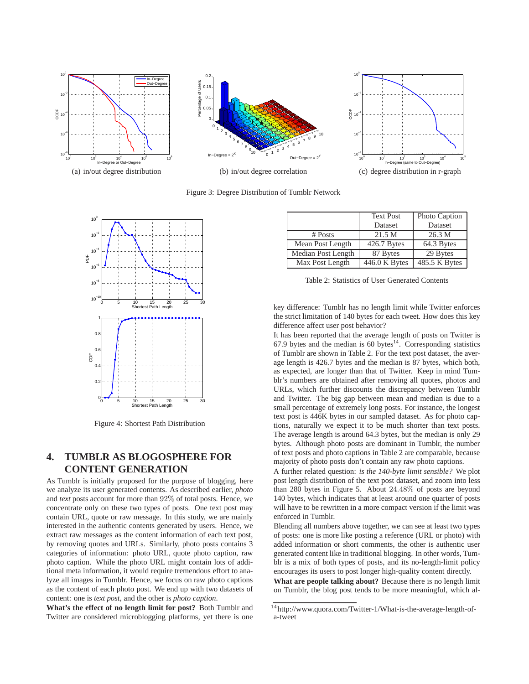





(c) degree distribution in r-graph

Figure 3: Degree Distribution of Tumblr Network



Figure 4: Shortest Path Distribution

# **4. TUMBLR AS BLOGOSPHERE FOR CONTENT GENERATION**

As Tumblr is initially proposed for the purpose of blogging, here we analyze its user generated contents. As described earlier, *photo* and *text* posts account for more than 92% of total posts. Hence, we concentrate only on these two types of posts. One text post may contain URL, quote or raw message. In this study, we are mainly interested in the authentic contents generated by users. Hence, we extract raw messages as the content information of each text post, by removing quotes and URLs. Similarly, photo posts contains 3 categories of information: photo URL, quote photo caption, raw photo caption. While the photo URL might contain lots of additional meta information, it would require tremendous effort to analyze all images in Tumblr. Hence, we focus on raw photo captions as the content of each photo post. We end up with two datasets of content: one is *text post*, and the other is *photo caption*.

**What's the effect of no length limit for post?** Both Tumblr and Twitter are considered microblogging platforms, yet there is one

|                    | <b>Text Post</b> | Photo Caption |
|--------------------|------------------|---------------|
|                    | Dataset          | Dataset       |
| $#$ Posts          | 21.5 M           | 26.3 M        |
| Mean Post Length   | 426.7 Bytes      | 64.3 Bytes    |
| Median Post Length | 87 Bytes         | 29 Bytes      |
| Max Post Length    | 446.0 K Bytes    | 485.5 K Bytes |

Table 2: Statistics of User Generated Contents

key difference: Tumblr has no length limit while Twitter enforces the strict limitation of 140 bytes for each tweet. How does this key difference affect user post behavior?

It has been reported that the average length of posts on Twitter is 67.9 bytes and the median is 60 bytes $14$ . Corresponding statistics of Tumblr are shown in Table 2. For the text post dataset, the average length is 426.7 bytes and the median is 87 bytes, which both, as expected, are longer than that of Twitter. Keep in mind Tumblr's numbers are obtained after removing all quotes, photos and URLs, which further discounts the discrepancy between Tumblr and Twitter. The big gap between mean and median is due to a small percentage of extremely long posts. For instance, the longest text post is 446K bytes in our sampled dataset. As for photo captions, naturally we expect it to be much shorter than text posts. The average length is around 64.3 bytes, but the median is only 29 bytes. Although photo posts are dominant in Tumblr, the number of text posts and photo captions in Table 2 are comparable, because majority of photo posts don't contain any raw photo captions.

A further related question: *is the 140-byte limit sensible?* We plot post length distribution of the text post dataset, and zoom into less than 280 bytes in Figure 5. About 24.48% of posts are beyond 140 bytes, which indicates that at least around one quarter of posts will have to be rewritten in a more compact version if the limit was enforced in Tumblr.

Blending all numbers above together, we can see at least two types of posts: one is more like posting a reference (URL or photo) with added information or short comments, the other is authentic user generated content like in traditional blogging. In other words, Tumblr is a mix of both types of posts, and its no-length-limit policy encourages its users to post longer high-quality content directly.

**What are people talking about?** Because there is no length limit on Tumblr, the blog post tends to be more meaningful, which al-

<sup>&</sup>lt;sup>14</sup>http://www.quora.com/Twitter-1/What-is-the-average-length-ofa-tweet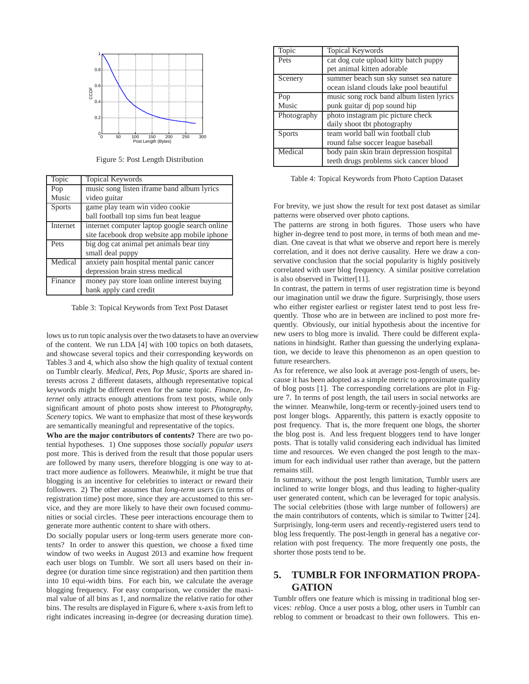

Figure 5: Post Length Distribution

| Topic         | Topical Keywords                              |
|---------------|-----------------------------------------------|
| Pop           | music song listen iframe band album lyrics    |
| Music         | video guitar                                  |
| <b>Sports</b> | game play team win video cookie               |
|               | ball football top sims fun beat league        |
| Internet      | internet computer laptop google search online |
|               | site facebook drop website app mobile iphone  |
| Pets          | big dog cat animal pet animals bear tiny      |
|               | small deal puppy                              |
| Medical       | anxiety pain hospital mental panic cancer     |
|               | depression brain stress medical               |
| Finance       | money pay store loan online interest buying   |
|               | bank apply card credit                        |

Table 3: Topical Keywords from Text Post Dataset

lows us to run topic analysis over the two datasets to have an overview of the content. We run LDA [4] with 100 topics on both datasets, and showcase several topics and their corresponding keywords on Tables 3 and 4, which also show the high quality of textual content on Tumblr clearly. *Medical, Pets, Pop Music, Sports* are shared interests across 2 different datasets, although representative topical keywords might be different even for the same topic. *Finance, Internet* only attracts enough attentions from text posts, while only significant amount of photo posts show interest to *Photography, Scenery* topics. We want to emphasize that most of these keywords are semantically meaningful and representative of the topics.

**Who are the major contributors of contents?** There are two potential hypotheses. 1) One supposes those *socially popular users* post more. This is derived from the result that those popular users are followed by many users, therefore blogging is one way to attract more audience as followers. Meanwhile, it might be true that blogging is an incentive for celebrities to interact or reward their followers. 2) The other assumes that *long-term users* (in terms of registration time) post more, since they are accustomed to this service, and they are more likely to have their own focused communities or social circles. These peer interactions encourage them to generate more authentic content to share with others.

Do socially popular users or long-term users generate more contents? In order to answer this question, we choose a fixed time window of two weeks in August 2013 and examine how frequent each user blogs on Tumblr. We sort all users based on their indegree (or duration time since registration) and then partition them into 10 equi-width bins. For each bin, we calculate the average blogging frequency. For easy comparison, we consider the maximal value of all bins as 1, and normalize the relative ratio for other bins. The results are displayed in Figure 6, where x-axis from left to right indicates increasing in-degree (or decreasing duration time).

| Topic         | <b>Topical Keywords</b>                  |
|---------------|------------------------------------------|
| Pets          | cat dog cute upload kitty batch puppy    |
|               | pet animal kitten adorable               |
| Scenery       | summer beach sun sky sunset sea nature   |
|               | ocean island clouds lake pool beautiful  |
| Pop           | music song rock band album listen lyrics |
| Music         | punk guitar dj pop sound hip             |
| Photography   | photo instagram pic picture check        |
|               | daily shoot the photography              |
| <b>Sports</b> | team world ball win football club        |
|               | round false soccer league baseball       |
| Medical       | body pain skin brain depression hospital |
|               | teeth drugs problems sick cancer blood   |

Table 4: Topical Keywords from Photo Caption Dataset

For brevity, we just show the result for text post dataset as similar patterns were observed over photo captions.

The patterns are strong in both figures. Those users who have higher in-degree tend to post more, in terms of both mean and median. One caveat is that what we observe and report here is merely correlation, and it does not derive causality. Here we draw a conservative conclusion that the social popularity is highly positively correlated with user blog frequency. A similar positive correlation is also observed in Twitter[11].

In contrast, the pattern in terms of user registration time is beyond our imagination until we draw the figure. Surprisingly, those users who either register earliest or register latest tend to post less frequently. Those who are in between are inclined to post more frequently. Obviously, our initial hypothesis about the incentive for new users to blog more is invalid. There could be different explanations in hindsight. Rather than guessing the underlying explanation, we decide to leave this phenomenon as an open question to future researchers.

As for reference, we also look at average post-length of users, because it has been adopted as a simple metric to approximate quality of blog posts [1]. The corresponding correlations are plot in Figure 7. In terms of post length, the tail users in social networks are the winner. Meanwhile, long-term or recently-joined users tend to post longer blogs. Apparently, this pattern is exactly opposite to post frequency. That is, the more frequent one blogs, the shorter the blog post is. And less frequent bloggers tend to have longer posts. That is totally valid considering each individual has limited time and resources. We even changed the post length to the maximum for each individual user rather than average, but the pattern remains still.

In summary, without the post length limitation, Tumblr users are inclined to write longer blogs, and thus leading to higher-quality user generated content, which can be leveraged for topic analysis. The social celebrities (those with large number of followers) are the main contributors of contents, which is similar to Twitter [24]. Surprisingly, long-term users and recently-registered users tend to blog less frequently. The post-length in general has a negative correlation with post frequency. The more frequently one posts, the shorter those posts tend to be.

# **5. TUMBLR FOR INFORMATION PROPA-GATION**

Tumblr offers one feature which is missing in traditional blog services: *reblog*. Once a user posts a blog, other users in Tumblr can reblog to comment or broadcast to their own followers. This en-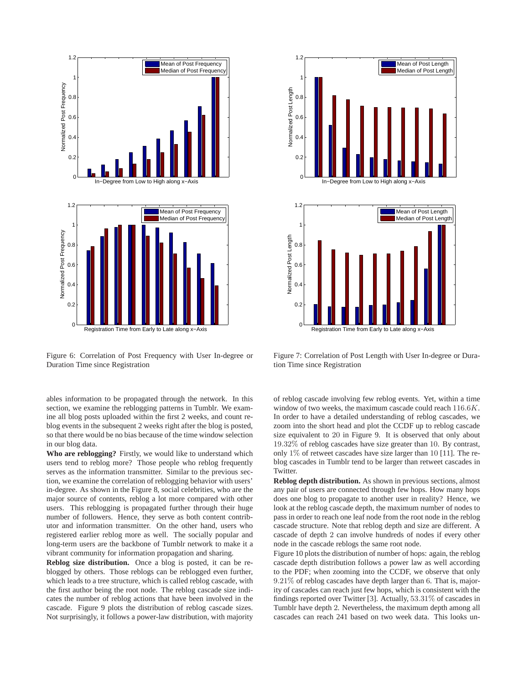

Figure 6: Correlation of Post Frequency with User In-degree or Duration Time since Registration

ables information to be propagated through the network. In this section, we examine the reblogging patterns in Tumblr. We examine all blog posts uploaded within the first 2 weeks, and count reblog events in the subsequent 2 weeks right after the blog is posted, so that there would be no bias because of the time window selection in our blog data.

**Who are reblogging?** Firstly, we would like to understand which users tend to reblog more? Those people who reblog frequently serves as the information transmitter. Similar to the previous section, we examine the correlation of reblogging behavior with users' in-degree. As shown in the Figure 8, social celebrities, who are the major source of contents, reblog a lot more compared with other users. This reblogging is propagated further through their huge number of followers. Hence, they serve as both content contributor and information transmitter. On the other hand, users who registered earlier reblog more as well. The socially popular and long-term users are the backbone of Tumblr network to make it a vibrant community for information propagation and sharing.

**Reblog size distribution.** Once a blog is posted, it can be reblogged by others. Those reblogs can be reblogged even further, which leads to a tree structure, which is called reblog cascade, with the first author being the root node. The reblog cascade size indicates the number of reblog actions that have been involved in the cascade. Figure 9 plots the distribution of reblog cascade sizes. Not surprisingly, it follows a power-law distribution, with majority



Figure 7: Correlation of Post Length with User In-degree or Duration Time since Registration

of reblog cascade involving few reblog events. Yet, within a time window of two weeks, the maximum cascade could reach 116.6K. In order to have a detailed understanding of reblog cascades, we zoom into the short head and plot the CCDF up to reblog cascade size equivalent to 20 in Figure 9. It is observed that only about 19.32% of reblog cascades have size greater than 10. By contrast, only  $1\%$  of retweet cascades have size larger than 10 [11]. The reblog cascades in Tumblr tend to be larger than retweet cascades in Twitter.

**Reblog depth distribution.** As shown in previous sections, almost any pair of users are connected through few hops. How many hops does one blog to propagate to another user in reality? Hence, we look at the reblog cascade depth, the maximum number of nodes to pass in order to reach one leaf node from the root node in the reblog cascade structure. Note that reblog depth and size are different. A cascade of depth 2 can involve hundreds of nodes if every other node in the cascade reblogs the same root node.

Figure 10 plots the distribution of number of hops: again, the reblog cascade depth distribution follows a power law as well according to the PDF; when zooming into the CCDF, we observe that only 9.21% of reblog cascades have depth larger than 6. That is, majority of cascades can reach just few hops, which is consistent with the findings reported over Twitter [3]. Actually, 53.31% of cascades in Tumblr have depth 2. Nevertheless, the maximum depth among all cascades can reach 241 based on two week data. This looks un-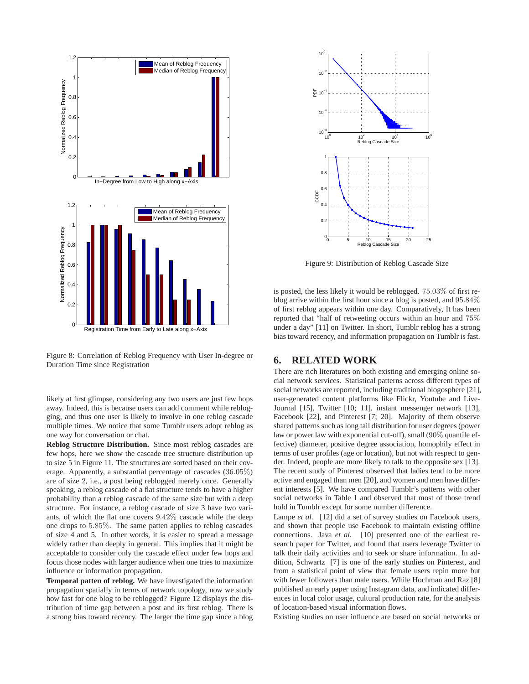

Figure 8: Correlation of Reblog Frequency with User In-degree or Duration Time since Registration

likely at first glimpse, considering any two users are just few hops away. Indeed, this is because users can add comment while reblogging, and thus one user is likely to involve in one reblog cascade multiple times. We notice that some Tumblr users adopt reblog as one way for conversation or chat.

**Reblog Structure Distribution.** Since most reblog cascades are few hops, here we show the cascade tree structure distribution up to size 5 in Figure 11. The structures are sorted based on their coverage. Apparently, a substantial percentage of cascades (36.05%) are of size 2, i.e., a post being reblogged merely once. Generally speaking, a reblog cascade of a flat structure tends to have a higher probability than a reblog cascade of the same size but with a deep structure. For instance, a reblog cascade of size 3 have two variants, of which the flat one covers 9.42% cascade while the deep one drops to 5.85%. The same patten applies to reblog cascades of size 4 and 5. In other words, it is easier to spread a message widely rather than deeply in general. This implies that it might be acceptable to consider only the cascade effect under few hops and focus those nodes with larger audience when one tries to maximize influence or information propagation.

**Temporal patten of reblog.** We have investigated the information propagation spatially in terms of network topology, now we study how fast for one blog to be reblogged? Figure 12 displays the distribution of time gap between a post and its first reblog. There is a strong bias toward recency. The larger the time gap since a blog



Figure 9: Distribution of Reblog Cascade Size

is posted, the less likely it would be reblogged. 75.03% of first reblog arrive within the first hour since a blog is posted, and 95.84% of first reblog appears within one day. Comparatively, It has been reported that "half of retweeting occurs within an hour and 75% under a day" [11] on Twitter. In short, Tumblr reblog has a strong bias toward recency, and information propagation on Tumblr is fast.

#### **6. RELATED WORK**

There are rich literatures on both existing and emerging online social network services. Statistical patterns across different types of social networks are reported, including traditional blogosphere [21], user-generated content platforms like Flickr, Youtube and Live-Journal [15], Twitter [10; 11], instant messenger network [13], Facebook [22], and Pinterest [7; 20]. Majority of them observe shared patterns such as long tail distribution for user degrees (power law or power law with exponential cut-off), small (90% quantile effective) diameter, positive degree association, homophily effect in terms of user profiles (age or location), but not with respect to gender. Indeed, people are more likely to talk to the opposite sex [13]. The recent study of Pinterest observed that ladies tend to be more active and engaged than men [20], and women and men have different interests [5]. We have compared Tumblr's patterns with other social networks in Table 1 and observed that most of those trend hold in Tumblr except for some number difference.

Lampe *et al.* [12] did a set of survey studies on Facebook users, and shown that people use Facebook to maintain existing offline connections. Java *et al.* [10] presented one of the earliest research paper for Twitter, and found that users leverage Twitter to talk their daily activities and to seek or share information. In addition, Schwartz [7] is one of the early studies on Pinterest, and from a statistical point of view that female users repin more but with fewer followers than male users. While Hochman and Raz [8] published an early paper using Instagram data, and indicated differences in local color usage, cultural production rate, for the analysis of location-based visual information flows.

Existing studies on user influence are based on social networks or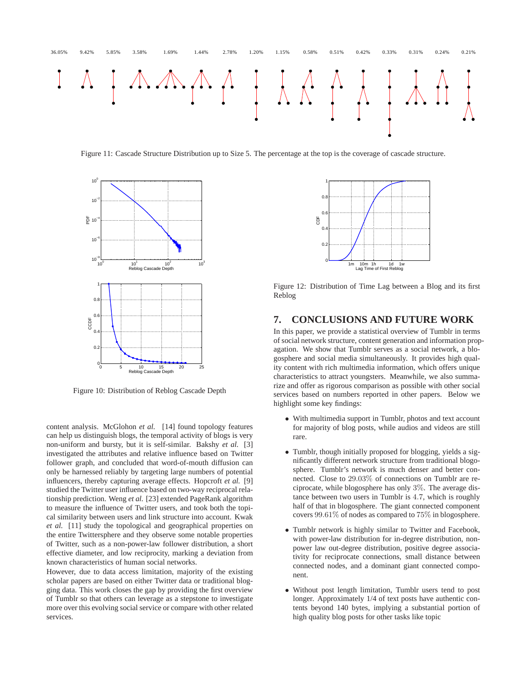

Figure 11: Cascade Structure Distribution up to Size 5. The percentage at the top is the coverage of cascade structure.



Figure 10: Distribution of Reblog Cascade Depth

content analysis. McGlohon *et al.* [14] found topology features can help us distinguish blogs, the temporal activity of blogs is very non-uniform and bursty, but it is self-similar. Bakshy *et al.* [3] investigated the attributes and relative influence based on Twitter follower graph, and concluded that word-of-mouth diffusion can only be harnessed reliably by targeting large numbers of potential influencers, thereby capturing average effects. Hopcroft *et al.* [9] studied the Twitter user influence based on two-way reciprocal relationship prediction. Weng *et al.* [23] extended PageRank algorithm to measure the influence of Twitter users, and took both the topical similarity between users and link structure into account. Kwak *et al.* [11] study the topological and geographical properties on the entire Twittersphere and they observe some notable properties of Twitter, such as a non-power-law follower distribution, a short effective diameter, and low reciprocity, marking a deviation from known characteristics of human social networks.

However, due to data access limitation, majority of the existing scholar papers are based on either Twitter data or traditional blogging data. This work closes the gap by providing the first overview of Tumblr so that others can leverage as a stepstone to investigate more over this evolving social service or compare with other related services.



Figure 12: Distribution of Time Lag between a Blog and its first Reblog

#### **7. CONCLUSIONS AND FUTURE WORK**

In this paper, we provide a statistical overview of Tumblr in terms of social network structure, content generation and information propagation. We show that Tumblr serves as a social network, a blogosphere and social media simultaneously. It provides high quality content with rich multimedia information, which offers unique characteristics to attract youngsters. Meanwhile, we also summarize and offer as rigorous comparison as possible with other social services based on numbers reported in other papers. Below we highlight some key findings:

- With multimedia support in Tumblr, photos and text account for majority of blog posts, while audios and videos are still rare.
- Tumblr, though initially proposed for blogging, yields a significantly different network structure from traditional blogosphere. Tumblr's network is much denser and better connected. Close to 29.03% of connections on Tumblr are reciprocate, while blogosphere has only 3%. The average distance between two users in Tumblr is 4.7, which is roughly half of that in blogosphere. The giant connected component covers 99.61% of nodes as compared to 75% in blogosphere.
- Tumblr network is highly similar to Twitter and Facebook, with power-law distribution for in-degree distribution, nonpower law out-degree distribution, positive degree associativity for reciprocate connections, small distance between connected nodes, and a dominant giant connected component.
- Without post length limitation, Tumblr users tend to post longer. Approximately 1/4 of text posts have authentic contents beyond 140 bytes, implying a substantial portion of high quality blog posts for other tasks like topic